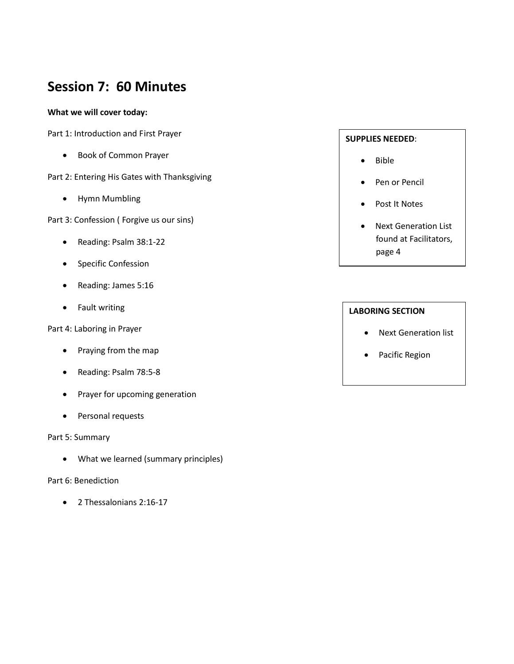# **Session 7: 60 Minutes**

# **What we will cover today:**

Part 1: Introduction and First Prayer

• Book of Common Prayer

Part 2: Entering His Gates with Thanksgiving

• Hymn Mumbling

Part 3: Confession ( Forgive us our sins)

- Reading: Psalm 38:1-22
- Specific Confession
- Reading: James 5:16
- Fault writing

Part 4: Laboring in Prayer

- Praying from the map
- Reading: Psalm 78:5-8
- Prayer for upcoming generation
- Personal requests

# Part 5: Summary

• What we learned (summary principles)

# Part 6: Benediction

• 2 Thessalonians 2:16-17

# **SUPPLIES NEEDED**:

- Bible
- Pen or Pencil
- Post It Notes
- Next Generation List found at Facilitators, page 4

# **LABORING SECTION**

- Next Generation list
- **•** Pacific Region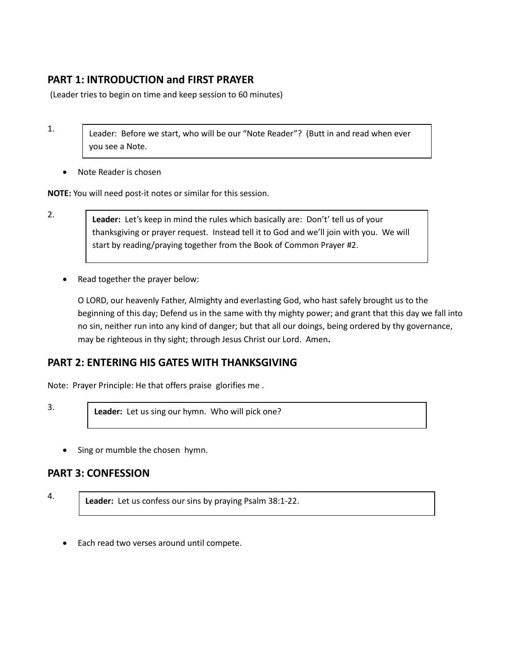# **PART 1: INTRODUCTION and FIRST PRAYER**

(Leader tries to begin on time and keep session to 60 minutes)

1.

Leader: Before we start, who will be our "Note Reader"? (Butt in and read when ever you see a Note.

Note Reader is chosen

**NOTE:** You will need post-it notes or similar for this session.

2.

**Leader:** Let's keep in mind the rules which basically are: Don't' tell us of your thanksgiving or prayer request. Instead tell it to God and we'll join with you. We will start by reading/praying together from the Book of Common Prayer #2.

• Read together the prayer below:

O LORD, our heavenly Father, Almighty and everlasting God, who hast safely brought us to the beginning of this day; Defend us in the same with thy mighty power; and grant that this day we fall into no sin, neither run into any kind of danger; but that all our doings, being ordered by thy governance, may be righteous in thy sight; through Jesus Christ our Lord. Amen**.** 

# **PART 2: ENTERING HIS GATES WITH THANKSGIVING**

Note: Prayer Principle: He that offers praise glorifies me .

3.

**Leader:** Let us sing our hymn. Who will pick one?

• Sing or mumble the chosen hymn.

# **PART 3: CONFESSION**

4.

**Leader:** Let us confess our sins by praying Psalm 38:1-22.

Each read two verses around until compete.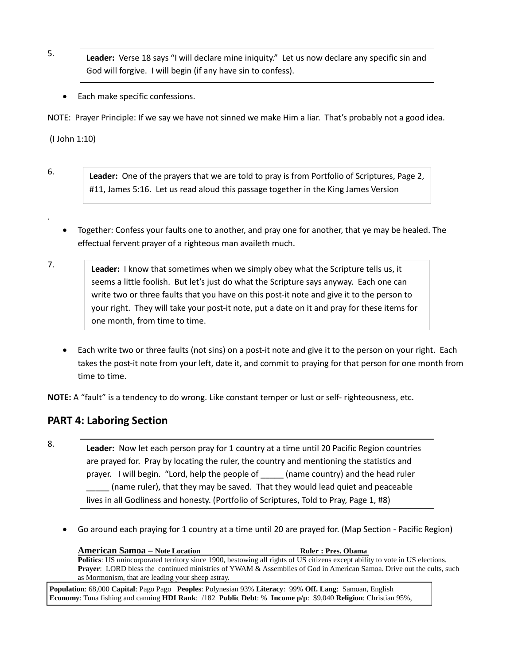- **Leader:** Verse 18 says "I will declare mine iniquity." Let us now declare any specific sin and God will forgive. I will begin (if any have sin to confess).
	- Each make specific confessions.

NOTE: Prayer Principle: If we say we have not sinned we make Him a liar. That's probably not a good idea.

(I John 1:10)

- 6. **Leader:** One of the prayers that we are told to pray is from Portfolio of Scriptures, Page 2, #11, James 5:16. Let us read aloud this passage together in the King James Version
	- Together: Confess your faults one to another, and pray one for another, that ye may be healed. The effectual fervent prayer of a righteous man availeth much.
- 7. **Leader:** I know that sometimes when we simply obey what the Scripture tells us, it seems a little foolish. But let's just do what the Scripture says anyway. Each one can write two or three faults that you have on this post-it note and give it to the person to your right. They will take your post-it note, put a date on it and pray for these items for one month, from time to time.
	- Each write two or three faults (not sins) on a post-it note and give it to the person on your right. Each takes the post-it note from your left, date it, and commit to praying for that person for one month from time to time.

**NOTE:** A "fault" is a tendency to do wrong. Like constant temper or lust or self- righteousness, etc.

# **PART 4: Laboring Section**

**Leader:** Now let each person pray for 1 country at a time until 20 Pacific Region countries are prayed for. Pray by locating the ruler, the country and mentioning the statistics and prayer. I will begin. "Lord, help the people of \_\_\_\_\_ (name country) and the head ruler \_\_\_\_\_ (name ruler), that they may be saved. That they would lead quiet and peaceable lives in all Godliness and honesty. (Portfolio of Scriptures, Told to Pray, Page 1, #8)

Go around each praying for 1 country at a time until 20 are prayed for. (Map Section - Pacific Region)

# **American Samoa –** Note Location Ruler **: Pres. Obama**

Politics: US unincorporated territory since 1900, bestowing all rights of US citizens except ability to vote in US elections. **Prayer**: LORD bless the continued ministries of YWAM & Assemblies of God in American Samoa. Drive out the cults, such as Mormonism, that are leading your sheep astray.

**Population**: 68,000 **Capital**: Pago Pago **Peoples**: Polynesian 93% **Literacy**: 99% **Off. Lang**: Samoan, English **Economy**: Tuna fishing and canning **HDI Rank**: /182 **Public Debt**: % **Income p/p**: \$9,040 **Religion**: Christian 95%,

5.

.

8.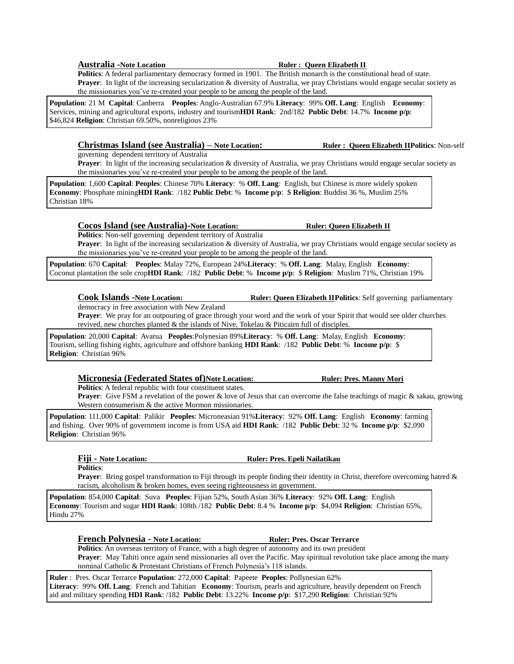# **Australia -Note Location Ruler : Queen Elizabeth II**

**Politics**: A federal parliamentary democracy formed in 1901. The British monarch is the constitutional head of state. **Prayer**: In light of the increasing secularization & diversity of Australia, we pray Christians would engage secular society as the missionaries you've re-created your people to be among the people of the land.

**Population**: 21 M **Capital**: Canberra **Peoples**: Anglo-Australian 67.9% **Literacy**: 99% **Off. Lang**: English **Economy**: Services, mining and agricultural exports, industry and tourism**HDI Rank**: 2nd/182 **Public Debt**: 14.7% **Income p/p**: \$46,824 **Religion**: Christian 69.50%, nonreligious 23%

### **Christmas Island (see Australia) – Note Location: Ruler : Queen Elizabeth IIPolitics**: Non-self

governing dependent territory of Australia

**Prayer**: In light of the increasing secularization & diversity of Australia, we pray Christians would engage secular society as the missionaries you've re-created your people to be among the people of the land.

**Population**: 1,600 **Capital**: **Peoples**: Chinese 70% **Literacy**: % **Off. Lang**: English, but Chinese is more widely spoken **Economy**: Phosphate mining**HDI Rank**: /182 **Public Debt**: % **Income p/p**: \$ **Religion**: Buddist 36 %, Muslim 25% Christian 18%

**Cocos Island (see Australia)-Note Location:** Ruler: Queen Elizabeth II

**Politics**: Non-self governing dependent territory of Australia **Prayer**: In light of the increasing secularization & diversity of Australia, we pray Christians would engage secular society as the missionaries you've re-created your people to be among the people of the land.

**Population**: 670 **Capital**: **Peoples**: Malay 72%, European 24%**Literacy**: % **Off. Lang**: Malay, English **Economy**: Coconut plantation the sole crop**HDI Rank**: /182 **Public Debt**: % **Income p/p**: \$ **Religion**: Muslim 71%, Christian 19%

**Cook Islands -Note Location:** Ruler: Queen Elizabeth IIPolitics: Self governing parliamentary

democracy in free association with New Zealand

**Prayer:** We pray for an outpouring of grace through your word and the work of your Spirit that would see older churches revived, new churches planted & the islands of Nive, Tokelau & Piticairn full of disciples.

**Population**: 20,000 **Capital**: Avarua **Peoples**:Polynesian 89%**Literacy**: % **Off. Lang**: Malay, English **Economy**: Tourism, selling fishing rights, agriculture and offshore banking **HDI Rank**: /182 **Public Debt**: % **Income p/p**: \$ **Religion**: Christian 96%

# **Micronesia (Federated States of)** Note Location: Ruler: Pres. Manny Mori

**Politics**: A federal republic with four constituent states.

**Prayer:** Give FSM a revelation of the power & love of Jesus that can overcome the false teachings of magic & sakau, growing Western consumerism  $\&$  the active Mormon missionaries.

**Population**: 111,000 **Capital**: Palikir **Peoples**: Microneasian 91%**Literacy**: 92% **Off. Lang**: English **Economy**: farming and fishing. Over 90% of government income is from USA aid **HDI Rank**: /182 **Public Debt**: 32 % **Income p/p**: \$2,090 **Religion**: Christian 96%

# **Fiji -** Note Location: Ruler: Pres. Epeli Nailatikau

**Politics**:

**Prayer**: Bring gospel transformation to Fiji through its people finding their identity in Christ, therefore overcoming hatred & racism, alcoholism & broken homes, even seeing righteousness in government.

**Population**: 854,000 **Capital**: Suva **Peoples**: Fijian 52%, South Asian 36% **Literacy**: 92% **Off. Lang**: English **Economy**: Tourism and sugar **HDI Rank**: 108th /182 **Public Debt**: 8.4 % **Income p/p**: \$4,094 **Religion**: Christian 65%, Hindu 27%

## **French Polynesia -** Note Location: Ruler: Pres. Oscar Terrarce

**Politics**: An overseas territory of France, with a high degree of autonomy and its own president **Prayer**: May Tahiti once again send missionaries all over the Pacific. May spiritual revolution take place among the many nominal Catholic & Protestant Christians of French Polynesia's 118 islands.

**Ruler** : Pres. Oscar Terrarce **Population**: 272,000 **Capital**: Papeete **Peoples**: Pollynesian 62% **Literacy**: 99% **Off. Lang**: French and Tahitian **Economy**: Tourism, pearls and agriculture, heavily dependent on French aid and military spending **HDI Rank**: /182 **Public Debt**: 13.22% **Income p/p**: \$17,290 **Religion**: Christian 92%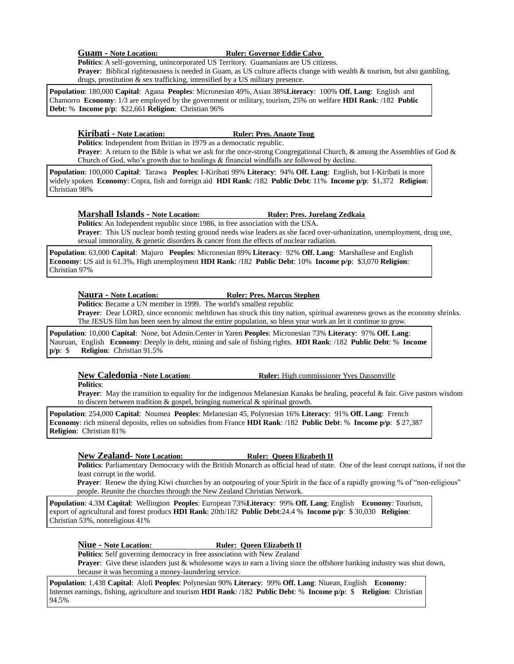Guam - Note Location: Ruler: Governor Eddie Calvo

**Politics**: A self-governing, unincorporated US Territory. Guamanians are US citizens.

**Prayer**: Biblical righteousness is needed in Guam, as US culture affects change with wealth & tourism, but also gambling, drugs, prostitution & sex trafficking, intensified by a US military presence.

**Population**: 180,000 **Capital**: Agana **Peoples**: Micronesian 49%, Asian 38%**Literacy**: 100% **Off. Lang**: English and Chamorro **Economy**: 1/3 are employed by the government or military, tourism, 25% on welfare **HDI Rank**: /182 **Public Debt**: % **Income p/p**: \$22,661 **Religion**: Christian 96%

# **Kiribati - Note Location: Ruler: Pres. Anaote Tong**

**Politics**: Independent from Britian in 1979 as a democratic republic.

**Prayer**: A return to the Bible is what we ask for the once-strong Congregational Church, & among the Assemblies of God & Church of God, who's growth due to healings & financial windfalls are followed by decline.

**Population**: 100,000 **Capital**: Tarawa **Peoples**: I-Kiribati 99% **Literacy**: 94% **Off. Lang**: English, but I-Kiribati is more widely spoken **Economy**: Copra, fish and foreign aid **HDI Rank**: /182 **Public Debt**: 11% **Income p/p**: \$1,372 **Religion**: Christian 98%

### **Marshall Islands - Note Location: Ruler: Pres. Jurelang Zedkaia**

**Politics**: An Independent republic since 1986, in free association with the USA.

**Prayer**: This US nuclear bomb testing ground needs wise leaders as she faced over-urbanization, unemployment, drug use, sexual immorality, & genetic disorders & cancer from the effects of nuclear radiation.

**Population**: 63,000 **Capital**: Majuro **Peoples**: Micronesian 89% **Literacy**: 92% **Off. Lang**: Marshallese and English **Economy**: US aid is 61.3%, High unemployment **HDI Rank**: /182 **Public Debt**: 10% **Income p/p**: \$3,070 **Religion**: Christian 97%

# **Naura -** Note Location: Ruler: Pres. Marcus Stephen

**Politics**: Became a UN member in 1999. The world's smallest republic

**Prayer**: Dear LORD, since economic meltdown has struck this tiny nation, spiritual awareness grows as the economy shrinks. The JESUS film has been seen by almost the entire population, so bless your work an let it continue to grow.

**Population**: 10,000 **Capital**: None, but Admin.Center in Yaren **Peoples**: Micronesian 73% **Literacy**: 97% **Off. Lang**: Nauruan, English **Economy**: Deeply in debt, mining and sale of fishing rights. **HDI Rank**: /182 **Public Debt**: % **Income Religion**: Christian 91.5%

**New Caledonia -Note Location:** Ruler: High commissioner Yves Dassonville

**Politics**:

**Prayer**: May the transition to equality for the indigenous Melanesian Kanaks be healing, peaceful & fair. Give pastors wisdom to discern between tradition & gospel, bringing numerical & spiritual growth.

**Population**: 254,000 **Capital**: Noumea **Peoples**: Melanesian 45, Polynesian 16% **Literacy**: 91% **Off. Lang**: French **Economy**: rich mineral deposits, relies on subsidies from France **HDI Rank**: /182 **Public Debt**: % **Income p/p**: \$ 27,387 **Religion**: Christian 81%

## **New Zealand-** Note Location: Ruler: Queen Elizabeth II

**Politics**: Parliamentary Democracy with the British Monarch as official head of state. One of the least corrupt nations, if not the least corrupt in the world.

**Prayer**: Renew the dying Kiwi churches by an outpouring of your Spirit in the face of a rapidly growing % of "non-religious" people. Reunite the churches through the New Zealand Christian Network.

**Population**: 4.3M **Capital**: Wellington **Peoples**: European 73%**Literacy**: 99% **Off. Lang**: English **Economy**: Tourism, export of agricultural and forest producs **HDI Rank**: 20th/182 **Public Debt**:24.4 % **Income p/p**: \$ 30,030 **Religion**: Christian 53%, nonreligious 41%

# **Niue - Note Location: Ruler: Queen Elizabeth II**

**Politics**: Self governing democracy in free association with New Zealand

**Prayer**: Give these islanders just & wholesome ways to earn a living since the offshore banking industry was shut down, because it was becoming a money-laundering service.

**Population**: 1,438 **Capital**: Alofi **Peoples**: Polynesian 90% **Literacy**: 99% **Off. Lang**: Niuean, English **Economy**: Internet earnings, fishing, agriculture and tourism **HDI Rank**: /182 **Public Debt**: % **Income p/p**: \$ **Religion**: Christian 94.5%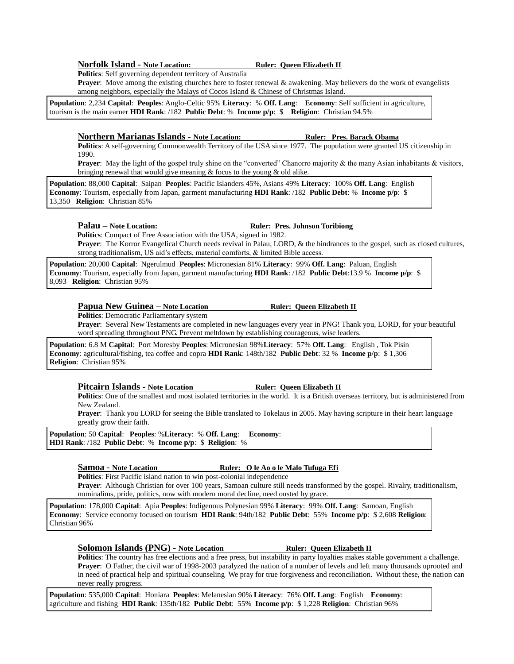# **Norfolk Island -** Note Location: Ruler: Queen Elizabeth II

**Politics**: Self governing dependent territory of Australia

Prayer: Move among the existing churches here to foster renewal & awakening. May believers do the work of evangelists among neighbors, especially the Malays of Cocos Island & Chinese of Christmas Island.

**Population**: 2,234 **Capital**: **Peoples**: Anglo-Celtic 95% **Literacy**: % **Off. Lang**: **Economy**: Self sufficient in agriculture, tourism is the main earner **HDI Rank**: /182 **Public Debt**: % **Income p/p**: \$ **Religion**: Christian 94.5%

### **Northern Marianas Islands - Note Location: Ruler: Pres. Barack Obama**

**Politics**: A self-governing Commonwealth Territory of the USA since 1977. The population were granted US citizenship in 1990.

**Prayer**: May the light of the gospel truly shine on the "converted" Chanorro majority & the many Asian inhabitants & visitors, bringing renewal that would give meaning & focus to the young & old alike.

**Population**: 88,000 **Capital**: Saipan **Peoples**: Pacific Islanders 45%, Asians 49% **Literacy**: 100% **Off. Lang**: English **Economy**: Tourism, especially from Japan, garment manufacturing **HDI Rank**: /182 **Public Debt**: % **Income p/p**: \$ 13,350 **Religion**: Christian 85%

### **Palau** – Note Location: Ruler: Pres. Johnson Toribiong

**Politics**: Compact of Free Association with the USA, signed in 1982.

**Prayer**: The Korror Evangelical Church needs revival in Palau, LORD, & the hindrances to the gospel, such as closed cultures, strong traditionalism, US aid's effects, material comforts, & limited Bible access.

**Population**: 20,000 **Capital**: Ngerulmud **Peoples**: Micronesian 81% **Literacy**: 99% **Off. Lang**: Paluan, English **Economy**: Tourism, especially from Japan, garment manufacturing **HDI Rank**: /182 **Public Debt**:13.9 % **Income p/p**: \$ 8,093 **Religion**: Christian 95%

## **Papua New Guinea –** Note Location Ruler: Queen Elizabeth II

**Politics**: Democratic Parliamentary system

**Prayer**: Several New Testaments are completed in new languages every year in PNG! Thank you, LORD, for your beautiful word spreading throughout PNG. Prevent meltdown by establishing courageous, wise leaders.

**Population**: 6.8 M **Capital**: Port Moresby **Peoples**: Micronesian 98%**Literacy**: 57% **Off. Lang**: English , Tok Pisin **Economy**: agricultural/fishing, tea coffee and copra **HDI Rank**: 148th/182 **Public Debt**: 32 % **Income p/p**: \$ 1,306 **Religion**: Christian 95%

## **Pitcairn Islands -** Note Location Ruler: Queen Elizabeth II

**Politics**: One of the smallest and most isolated territories in the world. It is a British overseas territory, but is administered from New Zealand.

**Prayer**: Thank you LORD for seeing the Bible translated to Tokelaus in 2005. May having scripture in their heart language greatly grow their faith.

**Population**: 50 **Capital**: **Peoples**: %**Literacy**: % **Off. Lang**: **Economy**: **HDI Rank**: /182 **Public Debt**: % **Income p/p**: \$ **Religion**: %

**Samoa - Note Location Ruler: O le Ao o le Malo Tufuga Efi** 

**Politics**: First Pacific island nation to win post-colonial independence

**Prayer**: Although Christian for over 100 years, Samoan culture still needs transformed by the gospel. Rivalry, traditionalism, nominalims, pride, politics, now with modern moral decline, need ousted by grace.

**Population**: 178,000 **Capital**: Apia **Peoples**: Indigenous Polynesian 99% **Literacy**: 99% **Off. Lang**: Samoan, English **Economy**: Service economy focused on tourism **HDI Rank**: 94th/182 **Public Debt**: 55% **Income p/p**: \$ 2,608 **Religion**: Christian 96%

### **Solomon Islands (PNG) -** Note Location Ruler: Queen Elizabeth II

**Politics**: The country has free elections and a free press, but instability in party loyalties makes stable government a challenge. **Prayer**: O Father, the civil war of 1998-2003 paralyzed the nation of a number of levels and left many thousands uprooted and in need of practical help and spiritual counseling We pray for true forgiveness and reconciliation. Without these, the nation can never really progress.

**Population**: 535,000 **Capital**: Honiara **Peoples**: Melanesian 90% **Literacy**: 76% **Off. Lang**: English **Economy**: agriculture and fishing **HDI Rank**: 135th/182 **Public Debt**: 55% **Income p/p**: \$ 1,228 **Religion**: Christian 96%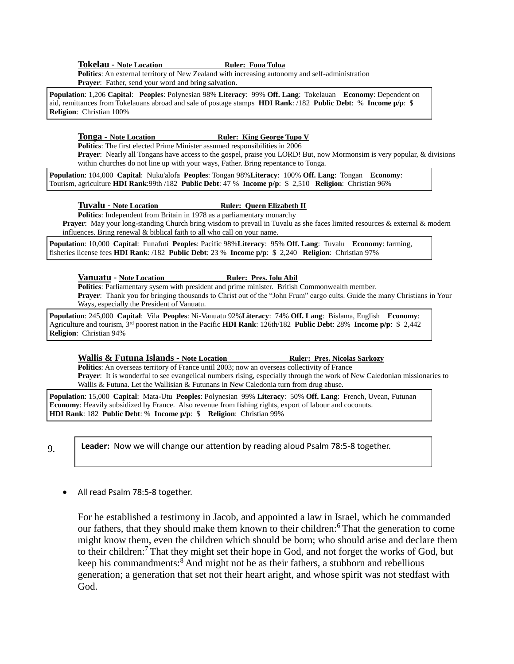# **Tokelau - Note Location Ruler: Foua Toloa**

**Politics**: An external territory of New Zealand with increasing autonomy and self-administration **Prayer**: Father, send your word and bring salvation.

**Population**: 1,206 **Capital**: **Peoples**: Polynesian 98% **Literacy**: 99% **Off. Lang**: Tokelauan **Economy**: Dependent on aid, remittances from Tokelauans abroad and sale of postage stamps **HDI Rank**: /182 **Public Debt**: % **Income p/p**: \$ **Religion**: Christian 100%

## **Tonga** - Note Location Ruler: King George Tupo V

**Politics**: The first elected Prime Minister assumed responsibilities in 2006

**Prayer**: Nearly all Tongans have access to the gospel, praise you LORD! But, now Mormonsim is very popular, & divisions within churches do not line up with your ways, Father. Bring repentance to Tonga.

**Population**: 104,000 **Capital**: Nuku'alofa **Peoples**: Tongan 98%**Literacy**: 100% **Off. Lang**: Tongan **Economy**: Tourism, agriculture **HDI Rank**:99th /182 **Public Debt**: 47 % **Income p/p**: \$ 2,510 **Religion**: Christian 96%

### **Tuvalu -** Note Location **Ruler: Oueen Elizabeth II**

**Politics**: Independent from Britain in 1978 as a parliamentary monarchy **Prayer**: May your long-standing Church bring wisdom to prevail in Tuvalu as she faces limited resources & external & modern influences. Bring renewal & biblical faith to all who call on your name.

**Population**: 10,000 **Capital**: Funafuti **Peoples**: Pacific 98%**Literacy**: 95% **Off. Lang**: Tuvalu **Economy**: farming, fisheries license fees **HDI Rank**: /182 **Public Debt**: 23 % **Income p/p**: \$ 2,240 **Religion**: Christian 97%

### **Vanuatu - Note Location** Ruler: Pres. Iolu Abil

**Politics**: Parliamentary sysem with president and prime minister. British Commonwealth member.

**Prayer**: Thank you for bringing thousands to Christ out of the "John Frum" cargo cults. Guide the many Christians in Your Ways, especially the President of Vanuatu.

**Population**: 245,000 **Capital**: Vila **Peoples**: Ni-Vanuatu 92%**Literacy**: 74% **Off. Lang**: Bislama, English **Economy**: Agriculture and tourism, 3rd poorest nation in the Pacific **HDI Rank**: 126th/182 **Public Debt**: 28% **Income p/p**: \$ 2,442 **Religion**: Christian 94%

# **Wallis & Futuna Islands -** Note Location Ruler: Pres. Nicolas Sarkozy

**Politics**: An overseas territory of France until 2003; now an overseas collectivity of France **Prayer:** It is wonderful to see evangelical numbers rising, especially through the work of New Caledonian missionaries to Wallis & Futuna. Let the Wallisian & Futunans in New Caledonia turn from drug abuse.

**Population**: 15,000 **Capital**: Mata-Utu **Peoples**: Polynesian 99% **Literacy**: 50% **Off. Lang**: French, Uvean, Futunan **Economy:** Heavily subsidized by France. Also revenue from fishing rights, export of labour and coconuts. **HDI Rank**: 182 **Public Debt**: % **Income p/p**: \$ **Religion**: Christian 99%

9.

**Leader:** Now we will change our attention by reading aloud Psalm 78:5-8 together.

All read Psalm 78:5-8 together.

For he established a testimony in Jacob, and appointed a law in Israel, which he commanded our fathers, that they should make them known to their children:<sup>6</sup>That the generation to come might know them, even the children which should be born; who should arise and declare them to their children:<sup>7</sup> That they might set their hope in God, and not forget the works of God, but keep his commandments:<sup>8</sup> And might not be as their fathers, a stubborn and rebellious generation; a generation that set not their heart aright, and whose spirit was not stedfast with God.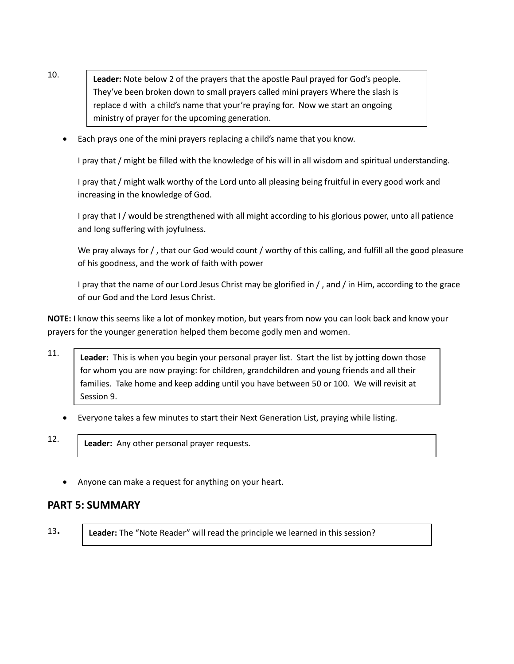- **Leader:** Note below 2 of the prayers that the apostle Paul prayed for God's people. They've been broken down to small prayers called mini prayers Where the slash is replace d with a child's name that your're praying for. Now we start an ongoing ministry of prayer for the upcoming generation.
- Each prays one of the mini prayers replacing a child's name that you know.

I pray that / might be filled with the knowledge of his will in all wisdom and spiritual understanding.

I pray that / might walk worthy of the Lord unto all pleasing being fruitful in every good work and increasing in the knowledge of God.

I pray that I / would be strengthened with all might according to his glorious power, unto all patience and long suffering with joyfulness.

We pray always for /, that our God would count / worthy of this calling, and fulfill all the good pleasure of his goodness, and the work of faith with power

I pray that the name of our Lord Jesus Christ may be glorified in / , and / in Him, according to the grace of our God and the Lord Jesus Christ.

**NOTE:** I know this seems like a lot of monkey motion, but years from now you can look back and know your prayers for the younger generation helped them become godly men and women.

11. **Leader:** This is when you begin your personal prayer list. Start the list by jotting down those for whom you are now praying: for children, grandchildren and young friends and all their families. Take home and keep adding until you have between 50 or 100. We will revisit at Session 9.

- Everyone takes a few minutes to start their Next Generation List, praying while listing.
- 12.

10.

**Leader:** Any other personal prayer requests.

Anyone can make a request for anything on your heart.

# **PART 5: SUMMARY**

13**.** 

**Leader:** The "Note Reader" will read the principle we learned in this session?